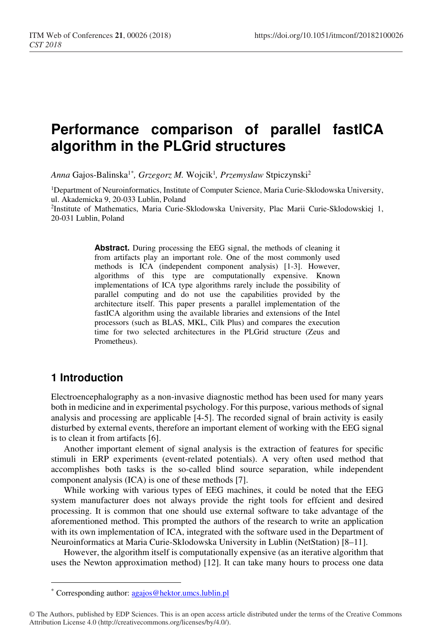# **Performance comparison of parallel fastICA algorithm in the PLGrid structures**

*Anna* Gajos-Balinska1\**, Grzegorz M.* Wojcik<sup>1</sup> *, Przemyslaw* Stpiczynski<sup>2</sup>

<sup>1</sup>Department of Neuroinformatics, Institute of Computer Science, Maria Curie-Sklodowska University, ul. Akademicka 9, 20-033 Lublin, Poland

2 Institute of Mathematics, Maria Curie-Sklodowska University, Plac Marii Curie-Sklodowskiej 1, 20-031 Lublin, Poland

> **Abstract.** During processing the EEG signal, the methods of cleaning it from artifacts play an important role. One of the most commonly used methods is ICA (independent component analysis) [1-3]. However, algorithms of this type are computationally expensive. Known implementations of ICA type algorithms rarely include the possibility of parallel computing and do not use the capabilities provided by the architecture itself. This paper presents a parallel implementation of the fastICA algorithm using the available libraries and extensions of the Intel processors (such as BLAS, MKL, Cilk Plus) and compares the execution time for two selected architectures in the PLGrid structure (Zeus and Prometheus).

# **1 Introduction**

 $\overline{a}$ 

Electroencephalography as a non-invasive diagnostic method has been used for many years both in medicine and in experimental psychology. For this purpose, various methods of signal analysis and processing are applicable [4-5]. The recorded signal of brain activity is easily disturbed by external events, therefore an important element of working with the EEG signal is to clean it from artifacts [6].

Another important element of signal analysis is the extraction of features for specific stimuli in ERP experiments (event-related potentials). A very often used method that accomplishes both tasks is the so-called blind source separation, while independent component analysis (ICA) is one of these methods [7].

While working with various types of EEG machines, it could be noted that the EEG system manufacturer does not always provide the right tools for effcient and desired processing. It is common that one should use external software to take advantage of the aforementioned method. This prompted the authors of the research to write an application with its own implementation of ICA, integrated with the software used in the Department of Neuroinformatics at Maria Curie-Sklodowska University in Lublin (NetStation) [8–11].

However, the algorithm itself is computationally expensive (as an iterative algorithm that uses the Newton approximation method) [12]. It can take many hours to process one data

<sup>\*</sup> Corresponding author: agajos@hektor.umcs.lublin.pl

<sup>©</sup> The Authors, published by EDP Sciences. This is an open access article distributed under the terms of the Creative Commons Attribution License 4.0 (http://creativecommons.org/licenses/by/4.0/).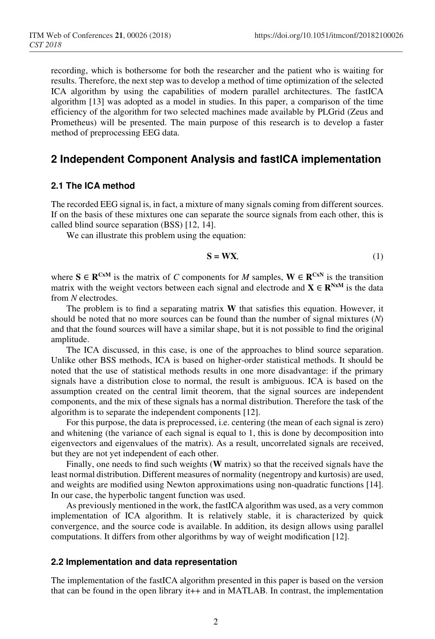recording, which is bothersome for both the researcher and the patient who is waiting for results. Therefore, the next step was to develop a method of time optimization of the selected ICA algorithm by using the capabilities of modern parallel architectures. The fastICA algorithm [13] was adopted as a model in studies. In this paper, a comparison of the time efficiency of the algorithm for two selected machines made available by PLGrid (Zeus and Prometheus) will be presented. The main purpose of this research is to develop a faster method of preprocessing EEG data.

### **2 Independent Component Analysis and fastICA implementation**

#### **2.1 The ICA method**

The recorded EEG signal is, in fact, a mixture of many signals coming from different sources. If on the basis of these mixtures one can separate the source signals from each other, this is called blind source separation (BSS) [12, 14].

We can illustrate this problem using the equation:

$$
S = WX,\tag{1}
$$

where **S**  $\in \mathbb{R}^{CxM}$  is the matrix of *C* components for *M* samples,  $W \in \mathbb{R}^{CxN}$  is the transition matrix with the weight vectors between each signal and electrode and  $X \in \mathbb{R}^{N \times M}$  is the data from *N* electrodes.

 The problem is to find a separating matrix **W** that satisfies this equation. However, it should be noted that no more sources can be found than the number of signal mixtures (*N*) and that the found sources will have a similar shape, but it is not possible to find the original amplitude.

 The ICA discussed, in this case, is one of the approaches to blind source separation. Unlike other BSS methods, ICA is based on higher-order statistical methods. It should be noted that the use of statistical methods results in one more disadvantage: if the primary signals have a distribution close to normal, the result is ambiguous. ICA is based on the assumption created on the central limit theorem, that the signal sources are independent components, and the mix of these signals has a normal distribution. Therefore the task of the algorithm is to separate the independent components [12].

 For this purpose, the data is preprocessed, i.e. centering (the mean of each signal is zero) and whitening (the variance of each signal is equal to 1, this is done by decomposition into eigenvectors and eigenvalues of the matrix). As a result, uncorrelated signals are received, but they are not yet independent of each other.

 Finally, one needs to find such weights (**W** matrix) so that the received signals have the least normal distribution. Different measures of normality (negentropy and kurtosis) are used, and weights are modified using Newton approximations using non-quadratic functions [14]. In our case, the hyperbolic tangent function was used.

 As previously mentioned in the work, the fastICA algorithm was used, as a very common implementation of ICA algorithm. It is relatively stable, it is characterized by quick convergence, and the source code is available. In addition, its design allows using parallel computations. It differs from other algorithms by way of weight modification [12].

#### **2.2 Implementation and data representation**

The implementation of the fastICA algorithm presented in this paper is based on the version that can be found in the open library it++ and in MATLAB. In contrast, the implementation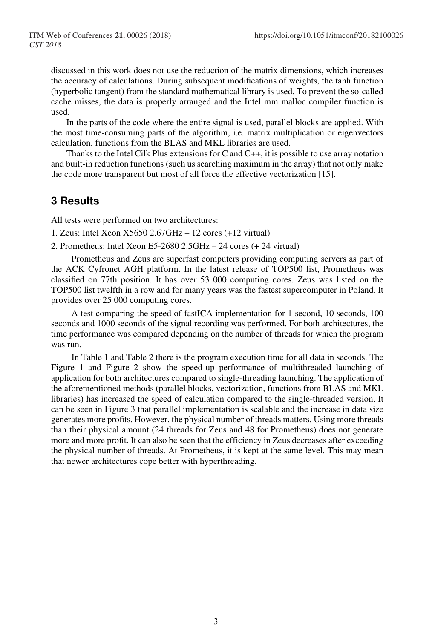discussed in this work does not use the reduction of the matrix dimensions, which increases the accuracy of calculations. During subsequent modifications of weights, the tanh function (hyperbolic tangent) from the standard mathematical library is used. To prevent the so-called cache misses, the data is properly arranged and the Intel mm malloc compiler function is used.

 In the parts of the code where the entire signal is used, parallel blocks are applied. With the most time-consuming parts of the algorithm, i.e. matrix multiplication or eigenvectors calculation, functions from the BLAS and MKL libraries are used.

 Thanks to the Intel Cilk Plus extensions for C and C++, it is possible to use array notation and built-in reduction functions (such us searching maximum in the array) that not only make the code more transparent but most of all force the effective vectorization [15].

# **3 Results**

All tests were performed on two architectures:

- 1. Zeus: Intel Xeon X5650 2.67GHz 12 cores (+12 virtual)
- 2. Prometheus: Intel Xeon E5-2680 2.5GHz 24 cores (+ 24 virtual)

Prometheus and Zeus are superfast computers providing computing servers as part of the ACK Cyfronet AGH platform. In the latest release of TOP500 list, Prometheus was classified on 77th position. It has over 53 000 computing cores. Zeus was listed on the TOP500 list twelfth in a row and for many years was the fastest supercomputer in Poland. It provides over 25 000 computing cores.

A test comparing the speed of fastICA implementation for 1 second, 10 seconds, 100 seconds and 1000 seconds of the signal recording was performed. For both architectures, the time performance was compared depending on the number of threads for which the program was run.

In Table 1 and Table 2 there is the program execution time for all data in seconds. The Figure 1 and Figure 2 show the speed-up performance of multithreaded launching of application for both architectures compared to single-threading launching. The application of the aforementioned methods (parallel blocks, vectorization, functions from BLAS and MKL libraries) has increased the speed of calculation compared to the single-threaded version. It can be seen in Figure 3 that parallel implementation is scalable and the increase in data size generates more profits. However, the physical number of threads matters. Using more threads than their physical amount (24 threads for Zeus and 48 for Prometheus) does not generate more and more profit. It can also be seen that the efficiency in Zeus decreases after exceeding the physical number of threads. At Prometheus, it is kept at the same level. This may mean that newer architectures cope better with hyperthreading.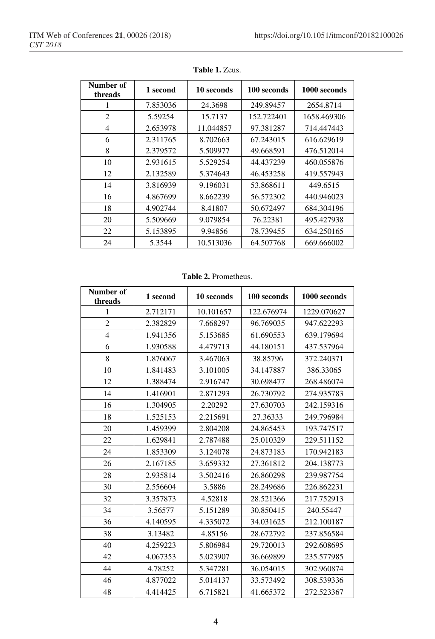| Number of<br>threads | 1 second | 10 seconds | 100 seconds | 1000 seconds |
|----------------------|----------|------------|-------------|--------------|
| 1                    | 7.853036 | 24.3698    | 249.89457   | 2654.8714    |
| $\overline{c}$       | 5.59254  | 15.7137    | 152.722401  | 1658.469306  |
| 4                    | 2.653978 | 11.044857  | 97.381287   | 714.447443   |
| 6                    | 2.311765 | 8.702663   | 67.243015   | 616.629619   |
| 8                    | 2.379572 | 5.509977   | 49.668591   | 476.512014   |
| 10                   | 2.931615 | 5.529254   | 44.437239   | 460.055876   |
| 12                   | 2.132589 | 5.374643   | 46.453258   | 419.557943   |
| 14                   | 3.816939 | 9.196031   | 53.868611   | 449.6515     |
| 16                   | 4.867699 | 8.662239   | 56.572302   | 440.946023   |
| 18                   | 4.902744 | 8.41807    | 50.672497   | 684.304196   |
| 20                   | 5.509669 | 9.079854   | 76.22381    | 495.427938   |
| 22                   | 5.153895 | 9.94856    | 78.739455   | 634.250165   |
| 24                   | 5.3544   | 10.513036  | 64.507768   | 669.666002   |

**Table 1.** Zeus.

#### **Table 2.** Prometheus.

| Number of<br>threads | 1 second | 10 seconds | 100 seconds | 1000 seconds |
|----------------------|----------|------------|-------------|--------------|
| 1                    | 2.712171 | 10.101657  | 122.676974  | 1229.070627  |
| $\mathbf{2}$         | 2.382829 | 7.668297   | 96.769035   | 947.622293   |
| $\overline{4}$       | 1.941356 | 5.153685   | 61.690553   | 639.179694   |
| 6                    | 1.930588 | 4.479713   | 44.180151   | 437.537964   |
| 8                    | 1.876067 | 3.467063   | 38.85796    | 372.240371   |
| 10                   | 1.841483 | 3.101005   | 34.147887   | 386.33065    |
| 12                   | 1.388474 | 2.916747   | 30.698477   | 268.486074   |
| 14                   | 1.416901 | 2.871293   | 26.730792   | 274.935783   |
| 16                   | 1.304905 | 2.20292    | 27.630703   | 242.159316   |
| 18                   | 1.525153 | 2.215691   | 27.36333    | 249.796984   |
| 20                   | 1.459399 | 2.804208   | 24.865453   | 193.747517   |
| 22                   | 1.629841 | 2.787488   | 25.010329   | 229.511152   |
| 24                   | 1.853309 | 3.124078   | 24.873183   | 170.942183   |
| 26                   | 2.167185 | 3.659332   | 27.361812   | 204.138773   |
| 28                   | 2.935814 | 3.502416   | 26.860298   | 239.987754   |
| 30                   | 2.556604 | 3.5886     | 28.249686   | 226.862231   |
| 32                   | 3.357873 | 4.52818    | 28.521366   | 217.752913   |
| 34                   | 3.56577  | 5.151289   | 30.850415   | 240.55447    |
| 36                   | 4.140595 | 4.335072   | 34.031625   | 212.100187   |
| 38                   | 3.13482  | 4.85156    | 28.672792   | 237.856584   |
| 40                   | 4.259223 | 5.806984   | 29.720013   | 292.608695   |
| 42                   | 4.067353 | 5.023907   | 36.669899   | 235.577985   |
| 44                   | 4.78252  | 5.347281   | 36.054015   | 302.960874   |
| 46                   | 4.877022 | 5.014137   | 33.573492   | 308.539336   |
| 48                   | 4.414425 | 6.715821   | 41.665372   | 272.523367   |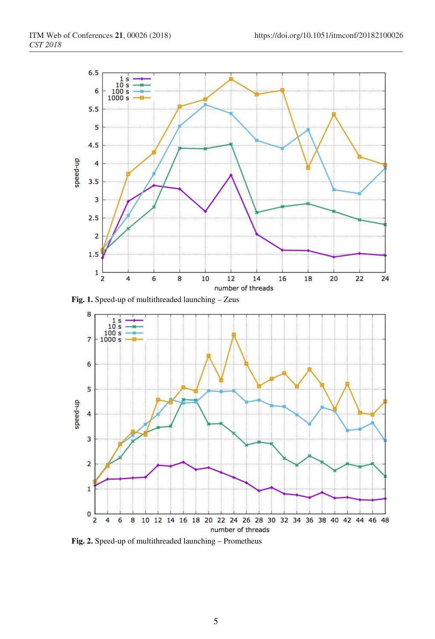

**Fig. 1.** Speed-up of multithreaded launching – Zeus



**Fig. 2.** Speed-up of multithreaded launching – Prometheus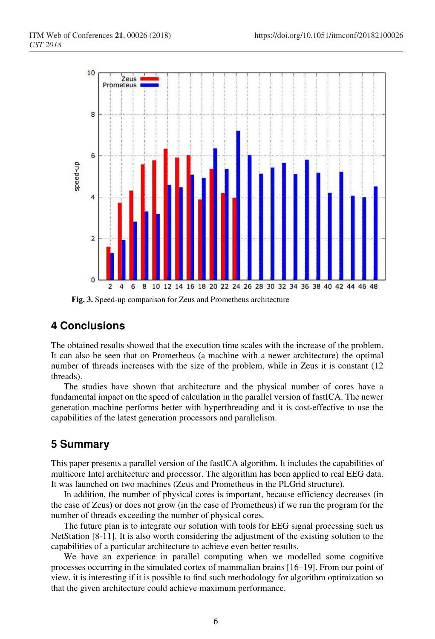

**Fig. 3.** Speed-up comparison for Zeus and Prometheus architecture

# **4 Conclusions**

The obtained results showed that the execution time scales with the increase of the problem. It can also be seen that on Prometheus (a machine with a newer architecture) the optimal number of threads increases with the size of the problem, while in Zeus it is constant (12 threads).

The studies have shown that architecture and the physical number of cores have a fundamental impact on the speed of calculation in the parallel version of fastICA. The newer generation machine performs better with hyperthreading and it is cost-effective to use the capabilities of the latest generation processors and parallelism.

### **5 Summary**

This paper presents a parallel version of the fastICA algorithm. It includes the capabilities of multicore Intel architecture and processor. The algorithm has been applied to real EEG data. It was launched on two machines (Zeus and Prometheus in the PLGrid structure).

In addition, the number of physical cores is important, because efficiency decreases (in the case of Zeus) or does not grow (in the case of Prometheus) if we run the program for the number of threads exceeding the number of physical cores.

The future plan is to integrate our solution with tools for EEG signal processing such us NetStation [8-11]. It is also worth considering the adjustment of the existing solution to the capabilities of a particular architecture to achieve even better results.

We have an experience in parallel computing when we modelled some cognitive processes occurring in the simulated cortex of mammalian brains [16–19]. From our point of view, it is interesting if it is possible to find such methodology for algorithm optimization so that the given architecture could achieve maximum performance.